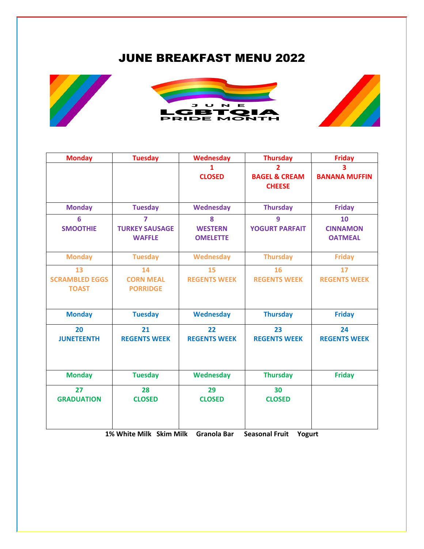## JUNE BREAKFAST MENU 2022



| <b>Monday</b>                               | <b>Tuesday</b>                                           | Wednesday                              | <b>Thursday</b>                                | <b>Friday</b>                           |
|---------------------------------------------|----------------------------------------------------------|----------------------------------------|------------------------------------------------|-----------------------------------------|
|                                             |                                                          | 1<br><b>CLOSED</b>                     | 2<br><b>BAGEL &amp; CREAM</b><br><b>CHEESE</b> | 3<br><b>BANANA MUFFIN</b>               |
| <b>Monday</b>                               | <b>Tuesday</b>                                           | Wednesday                              | <b>Thursday</b>                                | <b>Friday</b>                           |
| 6<br><b>SMOOTHIE</b>                        | $\overline{7}$<br><b>TURKEY SAUSAGE</b><br><b>WAFFLE</b> | 8<br><b>WESTERN</b><br><b>OMELETTE</b> | 9<br><b>YOGURT PARFAIT</b>                     | 10<br><b>CINNAMON</b><br><b>OATMEAL</b> |
| <b>Monday</b>                               | <b>Tuesday</b>                                           | Wednesday                              | <b>Thursday</b>                                | <b>Friday</b>                           |
| 13<br><b>SCRAMBLED EGGS</b><br><b>TOAST</b> | 14<br><b>CORN MEAL</b><br><b>PORRIDGE</b>                | 15<br><b>REGENTS WEEK</b>              | 16<br><b>REGENTS WEEK</b>                      | 17<br><b>REGENTS WEEK</b>               |
| <b>Monday</b>                               | <b>Tuesday</b>                                           | <b>Wednesday</b>                       | <b>Thursday</b>                                | <b>Friday</b>                           |
| 20<br><b>JUNETEENTH</b>                     | 21<br><b>REGENTS WEEK</b>                                | 22<br><b>REGENTS WEEK</b>              | 23<br><b>REGENTS WEEK</b>                      | 24<br><b>REGENTS WEEK</b>               |
| <b>Monday</b>                               | <b>Tuesday</b>                                           | Wednesday                              | <b>Thursday</b>                                | <b>Friday</b>                           |
| 27<br><b>GRADUATION</b>                     | 28<br><b>CLOSED</b>                                      | 29<br><b>CLOSED</b>                    | 30<br><b>CLOSED</b>                            |                                         |

**1% White Milk Skim Milk Granola Bar Seasonal Fruit Yogurt**